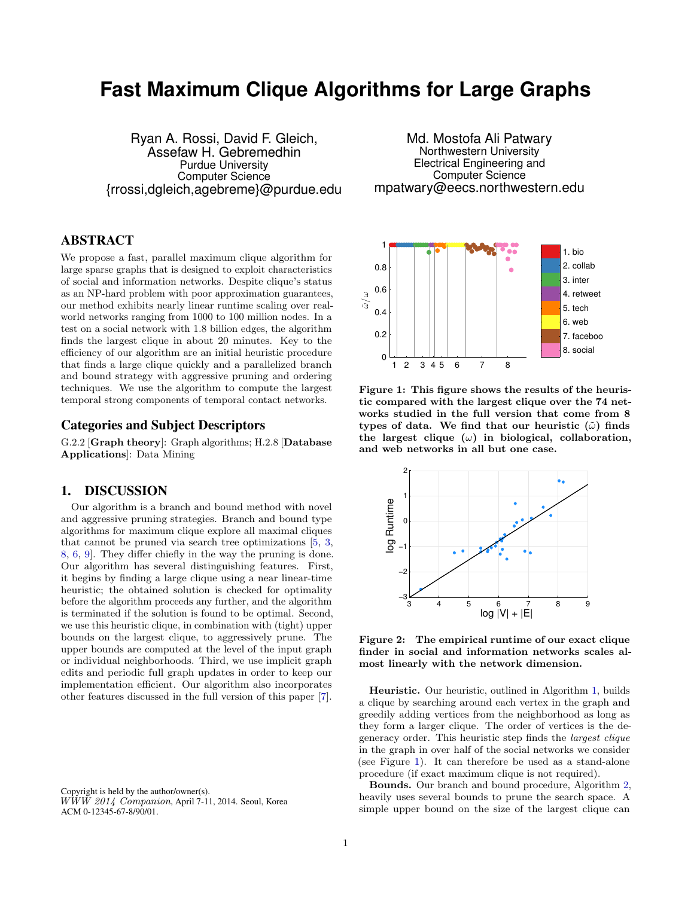# **Fast Maximum Clique Algorithms for Large Graphs**

Ryan A. Rossi, David F. Gleich, Assefaw H. Gebremedhin Purdue University Computer Science {rrossi,dgleich,agebreme}@purdue.edu

Md. Mostofa Ali Patwary Northwestern University Electrical Engineering and Computer Science mpatwary@eecs.northwestern.edu

## ABSTRACT

We propose a fast, parallel maximum clique algorithm for large sparse graphs that is designed to exploit characteristics of social and information networks. Despite clique's status as an NP-hard problem with poor approximation guarantees, our method exhibits nearly linear runtime scaling over realworld networks ranging from 1000 to 100 million nodes. In a test on a social network with 1.8 billion edges, the algorithm finds the largest clique in about 20 minutes. Key to the efficiency of our algorithm are an initial heuristic procedure that finds a large clique quickly and a parallelized branch and bound strategy with aggressive pruning and ordering techniques. We use the algorithm to compute the largest temporal strong components of temporal contact networks.

### Categories and Subject Descriptors

G.2.2 [Graph theory]: Graph algorithms; H.2.8 [Database Applications]: Data Mining

### 1. DISCUSSION

Our algorithm is a branch and bound method with novel and aggressive pruning strategies. Branch and bound type algorithms for maximum clique explore all maximal cliques that cannot be pruned via search tree optimizations [\[5,](#page-1-0) [3,](#page-1-1) [8,](#page-1-2) [6,](#page-1-3) [9\]](#page-1-4). They differ chiefly in the way the pruning is done. Our algorithm has several distinguishing features. First, it begins by finding a large clique using a near linear-time heuristic; the obtained solution is checked for optimality before the algorithm proceeds any further, and the algorithm is terminated if the solution is found to be optimal. Second, we use this heuristic clique, in combination with (tight) upper bounds on the largest clique, to aggressively prune. The upper bounds are computed at the level of the input graph or individual neighborhoods. Third, we use implicit graph edits and periodic full graph updates in order to keep our implementation efficient. Our algorithm also incorporates other features discussed in the full version of this paper [\[7\]](#page-1-5).

Copyright is held by the author/owner(s).  $W\dot W\dot W$  2014 Companion, April 7-11, 2014. Seoul, Korea ACM 0-12345-67-8/90/01.



<span id="page-0-0"></span>Figure 1: This figure shows the results of the heuristic compared with the largest clique over the 74 networks studied in the full version that come from 8 types of data. We find that our heuristic  $(\tilde{\omega})$  finds the largest clique  $(\omega)$  in biological, collaboration, and web networks in all but one case.



<span id="page-0-1"></span>Figure 2: The empirical runtime of our exact clique finder in social and information networks scales almost linearly with the network dimension.

Heuristic. Our heuristic, outlined in Algorithm [1,](#page-1-6) builds a clique by searching around each vertex in the graph and greedily adding vertices from the neighborhood as long as they form a larger clique. The order of vertices is the degeneracy order. This heuristic step finds the largest clique in the graph in over half of the social networks we consider (see Figure [1\)](#page-0-0). It can therefore be used as a stand-alone procedure (if exact maximum clique is not required).

Bounds. Our branch and bound procedure, Algorithm [2,](#page-1-7) heavily uses several bounds to prune the search space. A simple upper bound on the size of the largest clique can